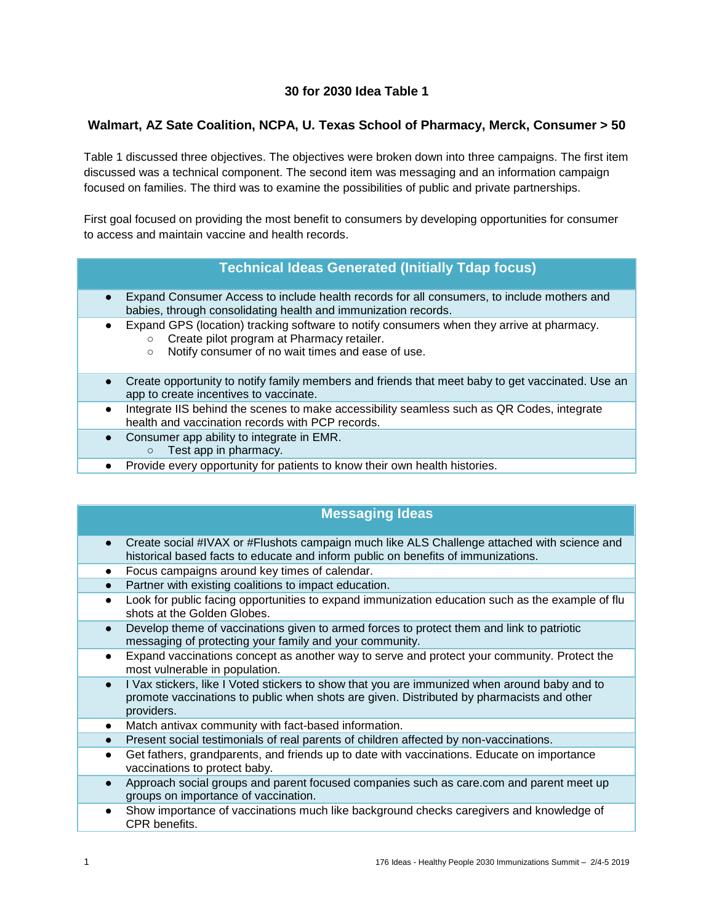## **30 for 2030 Idea Table 1**

#### **Walmart, AZ Sate Coalition, NCPA, U. Texas School of Pharmacy, Merck, Consumer > 50**

Table 1 discussed three objectives. The objectives were broken down into three campaigns. The first item discussed was a technical component. The second item was messaging and an information campaign focused on families. The third was to examine the possibilities of public and private partnerships.

First goal focused on providing the most benefit to consumers by developing opportunities for consumer to access and maintain vaccine and health records.

#### **Technical Ideas Generated (Initially Tdap focus)**

- Expand Consumer Access to include health records for all consumers, to include mothers and babies, through consolidating health and immunization records.
	- Expand GPS (location) tracking software to notify consumers when they arrive at pharmacy. ○ Create pilot program at Pharmacy retailer.
		- Notify consumer of no wait times and ease of use.
- Create opportunity to notify family members and friends that meet baby to get vaccinated. Use an app to create incentives to vaccinate.
- Integrate IIS behind the scenes to make accessibility seamless such as QR Codes, integrate health and vaccination records with PCP records.
- Consumer app ability to integrate in EMR.
	- Test app in pharmacy.
- Provide every opportunity for patients to know their own health histories.

# **Messaging Ideas**

- Create social #IVAX or #Flushots campaign much like ALS Challenge attached with science and historical based facts to educate and inform public on benefits of immunizations.
- Focus campaigns around key times of calendar.
- Partner with existing coalitions to impact education.
- Look for public facing opportunities to expand immunization education such as the example of flu shots at the Golden Globes.
- Develop theme of vaccinations given to armed forces to protect them and link to patriotic messaging of protecting your family and your community.
- Expand vaccinations concept as another way to serve and protect your community. Protect the most vulnerable in population.
- I Vax stickers, like I Voted stickers to show that you are immunized when around baby and to promote vaccinations to public when shots are given. Distributed by pharmacists and other providers.
- Match antivax community with fact-based information.
- Present social testimonials of real parents of children affected by non-vaccinations.
- Get fathers, grandparents, and friends up to date with vaccinations. Educate on importance vaccinations to protect baby.
- Approach social groups and parent focused companies such as care.com and parent meet up groups on importance of vaccination.
- Show importance of vaccinations much like background checks caregivers and knowledge of CPR benefits.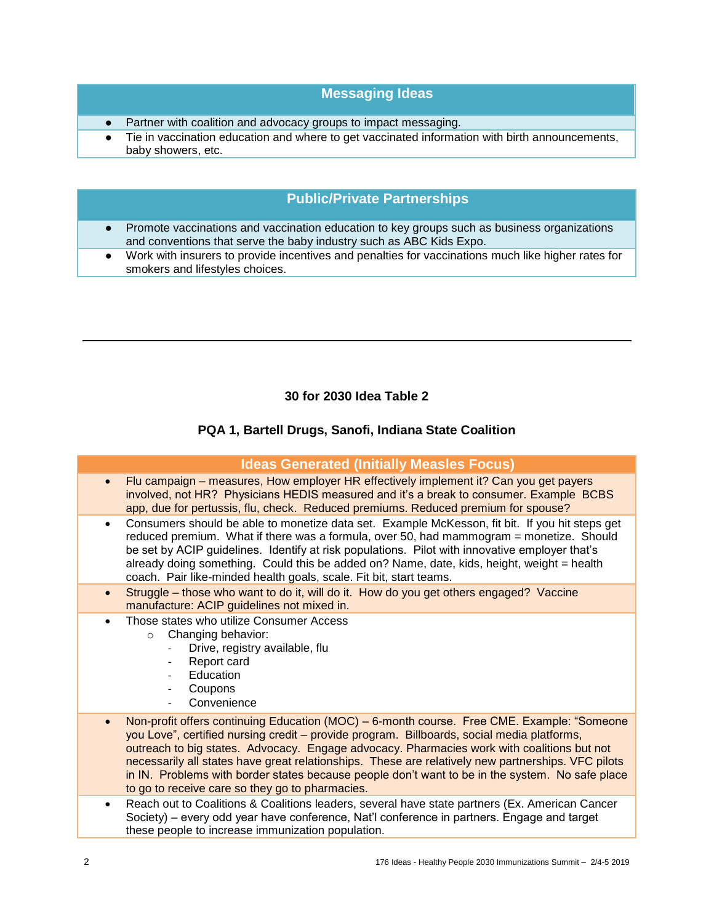## **Messaging Ideas**

- Partner with coalition and advocacy groups to impact messaging.
- Tie in vaccination education and where to get vaccinated information with birth announcements, baby showers, etc.

## **Public/Private Partnerships**

- Promote vaccinations and vaccination education to key groups such as business organizations and conventions that serve the baby industry such as ABC Kids Expo.
- Work with insurers to provide incentives and penalties for vaccinations much like higher rates for smokers and lifestyles choices.

#### **30 for 2030 Idea Table 2**

### **PQA 1, Bartell Drugs, Sanofi, Indiana State Coalition**

|           | <b>Ideas Generated (Initially Measles Focus)</b>                                                                                                                                                                                                                                                                                                                                                                                                                                                                                                   |
|-----------|----------------------------------------------------------------------------------------------------------------------------------------------------------------------------------------------------------------------------------------------------------------------------------------------------------------------------------------------------------------------------------------------------------------------------------------------------------------------------------------------------------------------------------------------------|
| $\bullet$ | Flu campaign – measures, How employer HR effectively implement it? Can you get payers<br>involved, not HR? Physicians HEDIS measured and it's a break to consumer. Example BCBS<br>app, due for pertussis, flu, check. Reduced premiums. Reduced premium for spouse?                                                                                                                                                                                                                                                                               |
| $\bullet$ | Consumers should be able to monetize data set. Example McKesson, fit bit. If you hit steps get<br>reduced premium. What if there was a formula, over 50, had mammogram = monetize. Should<br>be set by ACIP guidelines. Identify at risk populations. Pilot with innovative employer that's<br>already doing something. Could this be added on? Name, date, kids, height, weight = health<br>coach. Pair like-minded health goals, scale. Fit bit, start teams.                                                                                    |
| $\bullet$ | Struggle - those who want to do it, will do it. How do you get others engaged? Vaccine<br>manufacture: ACIP guidelines not mixed in.                                                                                                                                                                                                                                                                                                                                                                                                               |
| $\bullet$ | Those states who utilize Consumer Access<br>Changing behavior:<br>$\circ$<br>Drive, registry available, flu<br>Report card<br>$\overline{\phantom{a}}$<br>Education<br>Coupons<br>Convenience                                                                                                                                                                                                                                                                                                                                                      |
| $\bullet$ | Non-profit offers continuing Education (MOC) - 6-month course. Free CME. Example: "Someone<br>you Love", certified nursing credit – provide program. Billboards, social media platforms,<br>outreach to big states. Advocacy. Engage advocacy. Pharmacies work with coalitions but not<br>necessarily all states have great relationships. These are relatively new partnerships. VFC pilots<br>in IN. Problems with border states because people don't want to be in the system. No safe place<br>to go to receive care so they go to pharmacies. |
| $\bullet$ | Reach out to Coalitions & Coalitions leaders, several have state partners (Ex. American Cancer<br>Society) – every odd year have conference, Nat'l conference in partners. Engage and target<br>these people to increase immunization population.                                                                                                                                                                                                                                                                                                  |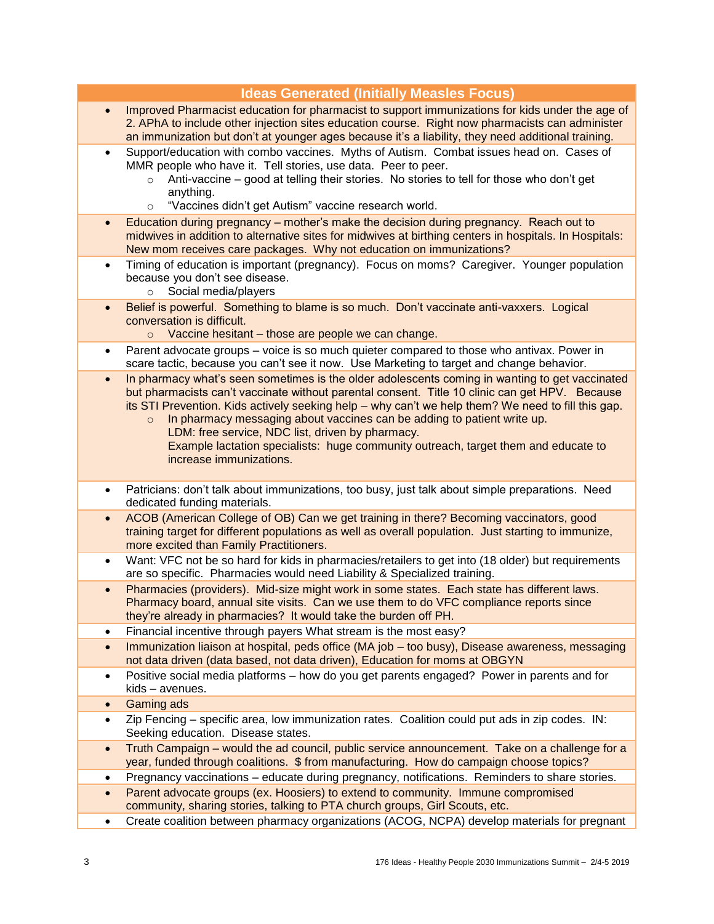| Improved Pharmacist education for pharmacist to support immunizations for kids under the age of<br>$\bullet$<br>2. APhA to include other injection sites education course. Right now pharmacists can administer<br>an immunization but don't at younger ages because it's a liability, they need additional training.<br>Support/education with combo vaccines. Myths of Autism. Combat issues head on. Cases of<br>$\bullet$<br>MMR people who have it. Tell stories, use data. Peer to peer.<br>Anti-vaccine – good at telling their stories. No stories to tell for those who don't get<br>$\Omega$<br>anything.<br>"Vaccines didn't get Autism" vaccine research world.<br>$\circ$<br>Education during pregnancy – mother's make the decision during pregnancy. Reach out to<br>$\bullet$<br>midwives in addition to alternative sites for midwives at birthing centers in hospitals. In Hospitals:<br>New mom receives care packages. Why not education on immunizations?<br>Timing of education is important (pregnancy). Focus on moms? Caregiver. Younger population<br>$\bullet$<br>because you don't see disease.<br>Social media/players<br>$\circ$<br>Belief is powerful. Something to blame is so much. Don't vaccinate anti-vaxxers. Logical<br>$\bullet$<br>conversation is difficult.<br>Vaccine hesitant - those are people we can change.<br>$\circ$<br>Parent advocate groups - voice is so much quieter compared to those who antivax. Power in<br>٠<br>scare tactic, because you can't see it now. Use Marketing to target and change behavior.<br>In pharmacy what's seen sometimes is the older adolescents coming in wanting to get vaccinated<br>$\bullet$<br>but pharmacists can't vaccinate without parental consent. Title 10 clinic can get HPV. Because<br>its STI Prevention. Kids actively seeking help - why can't we help them? We need to fill this gap.<br>In pharmacy messaging about vaccines can be adding to patient write up.<br>$\circ$<br>LDM: free service, NDC list, driven by pharmacy.<br>Example lactation specialists: huge community outreach, target them and educate to<br>increase immunizations.<br>Patricians: don't talk about immunizations, too busy, just talk about simple preparations. Need<br>$\bullet$<br>dedicated funding materials.<br>ACOB (American College of OB) Can we get training in there? Becoming vaccinators, good<br>$\bullet$<br>training target for different populations as well as overall population. Just starting to immunize,<br>more excited than Family Practitioners.<br>Want: VFC not be so hard for kids in pharmacies/retailers to get into (18 older) but requirements<br>$\bullet$<br>are so specific. Pharmacies would need Liability & Specialized training.<br>Pharmacies (providers). Mid-size might work in some states. Each state has different laws.<br>$\bullet$<br>Pharmacy board, annual site visits. Can we use them to do VFC compliance reports since<br>they're already in pharmacies? It would take the burden off PH.<br>Financial incentive through payers What stream is the most easy?<br>٠<br>Immunization liaison at hospital, peds office (MA job - too busy), Disease awareness, messaging<br>$\bullet$<br>not data driven (data based, not data driven), Education for moms at OBGYN<br>Positive social media platforms - how do you get parents engaged? Power in parents and for<br>$\bullet$<br>kids - avenues.<br><b>Gaming ads</b><br>$\bullet$<br>Zip Fencing - specific area, low immunization rates. Coalition could put ads in zip codes. IN:<br>$\bullet$<br>Seeking education. Disease states.<br>Truth Campaign - would the ad council, public service announcement. Take on a challenge for a<br>$\bullet$<br>year, funded through coalitions. \$ from manufacturing. How do campaign choose topics?<br>Pregnancy vaccinations - educate during pregnancy, notifications. Reminders to share stories.<br>٠ |           |                                                                                             |
|-------------------------------------------------------------------------------------------------------------------------------------------------------------------------------------------------------------------------------------------------------------------------------------------------------------------------------------------------------------------------------------------------------------------------------------------------------------------------------------------------------------------------------------------------------------------------------------------------------------------------------------------------------------------------------------------------------------------------------------------------------------------------------------------------------------------------------------------------------------------------------------------------------------------------------------------------------------------------------------------------------------------------------------------------------------------------------------------------------------------------------------------------------------------------------------------------------------------------------------------------------------------------------------------------------------------------------------------------------------------------------------------------------------------------------------------------------------------------------------------------------------------------------------------------------------------------------------------------------------------------------------------------------------------------------------------------------------------------------------------------------------------------------------------------------------------------------------------------------------------------------------------------------------------------------------------------------------------------------------------------------------------------------------------------------------------------------------------------------------------------------------------------------------------------------------------------------------------------------------------------------------------------------------------------------------------------------------------------------------------------------------------------------------------------------------------------------------------------------------------------------------------------------------------------------------------------------------------------------------------------------------------------------------------------------------------------------------------------------------------------------------------------------------------------------------------------------------------------------------------------------------------------------------------------------------------------------------------------------------------------------------------------------------------------------------------------------------------------------------------------------------------------------------------------------------------------------------------------------------------------------------------------------------------------------------------------------------------------------------------------------------------------------------------------------------------------------------------------------------------------------------------------------------------------------------------------------------------------------------------------------------------------------------------------------------------------------------------------------------------------------------------------------------------------------------------------------------------------------------------------------------------------------------------------------------------------|-----------|---------------------------------------------------------------------------------------------|
|                                                                                                                                                                                                                                                                                                                                                                                                                                                                                                                                                                                                                                                                                                                                                                                                                                                                                                                                                                                                                                                                                                                                                                                                                                                                                                                                                                                                                                                                                                                                                                                                                                                                                                                                                                                                                                                                                                                                                                                                                                                                                                                                                                                                                                                                                                                                                                                                                                                                                                                                                                                                                                                                                                                                                                                                                                                                                                                                                                                                                                                                                                                                                                                                                                                                                                                                                                                                                                                                                                                                                                                                                                                                                                                                                                                                                                                                                                                                                 |           |                                                                                             |
|                                                                                                                                                                                                                                                                                                                                                                                                                                                                                                                                                                                                                                                                                                                                                                                                                                                                                                                                                                                                                                                                                                                                                                                                                                                                                                                                                                                                                                                                                                                                                                                                                                                                                                                                                                                                                                                                                                                                                                                                                                                                                                                                                                                                                                                                                                                                                                                                                                                                                                                                                                                                                                                                                                                                                                                                                                                                                                                                                                                                                                                                                                                                                                                                                                                                                                                                                                                                                                                                                                                                                                                                                                                                                                                                                                                                                                                                                                                                                 |           |                                                                                             |
|                                                                                                                                                                                                                                                                                                                                                                                                                                                                                                                                                                                                                                                                                                                                                                                                                                                                                                                                                                                                                                                                                                                                                                                                                                                                                                                                                                                                                                                                                                                                                                                                                                                                                                                                                                                                                                                                                                                                                                                                                                                                                                                                                                                                                                                                                                                                                                                                                                                                                                                                                                                                                                                                                                                                                                                                                                                                                                                                                                                                                                                                                                                                                                                                                                                                                                                                                                                                                                                                                                                                                                                                                                                                                                                                                                                                                                                                                                                                                 |           |                                                                                             |
|                                                                                                                                                                                                                                                                                                                                                                                                                                                                                                                                                                                                                                                                                                                                                                                                                                                                                                                                                                                                                                                                                                                                                                                                                                                                                                                                                                                                                                                                                                                                                                                                                                                                                                                                                                                                                                                                                                                                                                                                                                                                                                                                                                                                                                                                                                                                                                                                                                                                                                                                                                                                                                                                                                                                                                                                                                                                                                                                                                                                                                                                                                                                                                                                                                                                                                                                                                                                                                                                                                                                                                                                                                                                                                                                                                                                                                                                                                                                                 |           |                                                                                             |
|                                                                                                                                                                                                                                                                                                                                                                                                                                                                                                                                                                                                                                                                                                                                                                                                                                                                                                                                                                                                                                                                                                                                                                                                                                                                                                                                                                                                                                                                                                                                                                                                                                                                                                                                                                                                                                                                                                                                                                                                                                                                                                                                                                                                                                                                                                                                                                                                                                                                                                                                                                                                                                                                                                                                                                                                                                                                                                                                                                                                                                                                                                                                                                                                                                                                                                                                                                                                                                                                                                                                                                                                                                                                                                                                                                                                                                                                                                                                                 |           |                                                                                             |
|                                                                                                                                                                                                                                                                                                                                                                                                                                                                                                                                                                                                                                                                                                                                                                                                                                                                                                                                                                                                                                                                                                                                                                                                                                                                                                                                                                                                                                                                                                                                                                                                                                                                                                                                                                                                                                                                                                                                                                                                                                                                                                                                                                                                                                                                                                                                                                                                                                                                                                                                                                                                                                                                                                                                                                                                                                                                                                                                                                                                                                                                                                                                                                                                                                                                                                                                                                                                                                                                                                                                                                                                                                                                                                                                                                                                                                                                                                                                                 |           |                                                                                             |
|                                                                                                                                                                                                                                                                                                                                                                                                                                                                                                                                                                                                                                                                                                                                                                                                                                                                                                                                                                                                                                                                                                                                                                                                                                                                                                                                                                                                                                                                                                                                                                                                                                                                                                                                                                                                                                                                                                                                                                                                                                                                                                                                                                                                                                                                                                                                                                                                                                                                                                                                                                                                                                                                                                                                                                                                                                                                                                                                                                                                                                                                                                                                                                                                                                                                                                                                                                                                                                                                                                                                                                                                                                                                                                                                                                                                                                                                                                                                                 |           |                                                                                             |
|                                                                                                                                                                                                                                                                                                                                                                                                                                                                                                                                                                                                                                                                                                                                                                                                                                                                                                                                                                                                                                                                                                                                                                                                                                                                                                                                                                                                                                                                                                                                                                                                                                                                                                                                                                                                                                                                                                                                                                                                                                                                                                                                                                                                                                                                                                                                                                                                                                                                                                                                                                                                                                                                                                                                                                                                                                                                                                                                                                                                                                                                                                                                                                                                                                                                                                                                                                                                                                                                                                                                                                                                                                                                                                                                                                                                                                                                                                                                                 |           |                                                                                             |
|                                                                                                                                                                                                                                                                                                                                                                                                                                                                                                                                                                                                                                                                                                                                                                                                                                                                                                                                                                                                                                                                                                                                                                                                                                                                                                                                                                                                                                                                                                                                                                                                                                                                                                                                                                                                                                                                                                                                                                                                                                                                                                                                                                                                                                                                                                                                                                                                                                                                                                                                                                                                                                                                                                                                                                                                                                                                                                                                                                                                                                                                                                                                                                                                                                                                                                                                                                                                                                                                                                                                                                                                                                                                                                                                                                                                                                                                                                                                                 |           |                                                                                             |
|                                                                                                                                                                                                                                                                                                                                                                                                                                                                                                                                                                                                                                                                                                                                                                                                                                                                                                                                                                                                                                                                                                                                                                                                                                                                                                                                                                                                                                                                                                                                                                                                                                                                                                                                                                                                                                                                                                                                                                                                                                                                                                                                                                                                                                                                                                                                                                                                                                                                                                                                                                                                                                                                                                                                                                                                                                                                                                                                                                                                                                                                                                                                                                                                                                                                                                                                                                                                                                                                                                                                                                                                                                                                                                                                                                                                                                                                                                                                                 |           |                                                                                             |
|                                                                                                                                                                                                                                                                                                                                                                                                                                                                                                                                                                                                                                                                                                                                                                                                                                                                                                                                                                                                                                                                                                                                                                                                                                                                                                                                                                                                                                                                                                                                                                                                                                                                                                                                                                                                                                                                                                                                                                                                                                                                                                                                                                                                                                                                                                                                                                                                                                                                                                                                                                                                                                                                                                                                                                                                                                                                                                                                                                                                                                                                                                                                                                                                                                                                                                                                                                                                                                                                                                                                                                                                                                                                                                                                                                                                                                                                                                                                                 |           |                                                                                             |
|                                                                                                                                                                                                                                                                                                                                                                                                                                                                                                                                                                                                                                                                                                                                                                                                                                                                                                                                                                                                                                                                                                                                                                                                                                                                                                                                                                                                                                                                                                                                                                                                                                                                                                                                                                                                                                                                                                                                                                                                                                                                                                                                                                                                                                                                                                                                                                                                                                                                                                                                                                                                                                                                                                                                                                                                                                                                                                                                                                                                                                                                                                                                                                                                                                                                                                                                                                                                                                                                                                                                                                                                                                                                                                                                                                                                                                                                                                                                                 |           |                                                                                             |
|                                                                                                                                                                                                                                                                                                                                                                                                                                                                                                                                                                                                                                                                                                                                                                                                                                                                                                                                                                                                                                                                                                                                                                                                                                                                                                                                                                                                                                                                                                                                                                                                                                                                                                                                                                                                                                                                                                                                                                                                                                                                                                                                                                                                                                                                                                                                                                                                                                                                                                                                                                                                                                                                                                                                                                                                                                                                                                                                                                                                                                                                                                                                                                                                                                                                                                                                                                                                                                                                                                                                                                                                                                                                                                                                                                                                                                                                                                                                                 |           |                                                                                             |
|                                                                                                                                                                                                                                                                                                                                                                                                                                                                                                                                                                                                                                                                                                                                                                                                                                                                                                                                                                                                                                                                                                                                                                                                                                                                                                                                                                                                                                                                                                                                                                                                                                                                                                                                                                                                                                                                                                                                                                                                                                                                                                                                                                                                                                                                                                                                                                                                                                                                                                                                                                                                                                                                                                                                                                                                                                                                                                                                                                                                                                                                                                                                                                                                                                                                                                                                                                                                                                                                                                                                                                                                                                                                                                                                                                                                                                                                                                                                                 |           |                                                                                             |
|                                                                                                                                                                                                                                                                                                                                                                                                                                                                                                                                                                                                                                                                                                                                                                                                                                                                                                                                                                                                                                                                                                                                                                                                                                                                                                                                                                                                                                                                                                                                                                                                                                                                                                                                                                                                                                                                                                                                                                                                                                                                                                                                                                                                                                                                                                                                                                                                                                                                                                                                                                                                                                                                                                                                                                                                                                                                                                                                                                                                                                                                                                                                                                                                                                                                                                                                                                                                                                                                                                                                                                                                                                                                                                                                                                                                                                                                                                                                                 |           |                                                                                             |
|                                                                                                                                                                                                                                                                                                                                                                                                                                                                                                                                                                                                                                                                                                                                                                                                                                                                                                                                                                                                                                                                                                                                                                                                                                                                                                                                                                                                                                                                                                                                                                                                                                                                                                                                                                                                                                                                                                                                                                                                                                                                                                                                                                                                                                                                                                                                                                                                                                                                                                                                                                                                                                                                                                                                                                                                                                                                                                                                                                                                                                                                                                                                                                                                                                                                                                                                                                                                                                                                                                                                                                                                                                                                                                                                                                                                                                                                                                                                                 |           |                                                                                             |
|                                                                                                                                                                                                                                                                                                                                                                                                                                                                                                                                                                                                                                                                                                                                                                                                                                                                                                                                                                                                                                                                                                                                                                                                                                                                                                                                                                                                                                                                                                                                                                                                                                                                                                                                                                                                                                                                                                                                                                                                                                                                                                                                                                                                                                                                                                                                                                                                                                                                                                                                                                                                                                                                                                                                                                                                                                                                                                                                                                                                                                                                                                                                                                                                                                                                                                                                                                                                                                                                                                                                                                                                                                                                                                                                                                                                                                                                                                                                                 |           |                                                                                             |
|                                                                                                                                                                                                                                                                                                                                                                                                                                                                                                                                                                                                                                                                                                                                                                                                                                                                                                                                                                                                                                                                                                                                                                                                                                                                                                                                                                                                                                                                                                                                                                                                                                                                                                                                                                                                                                                                                                                                                                                                                                                                                                                                                                                                                                                                                                                                                                                                                                                                                                                                                                                                                                                                                                                                                                                                                                                                                                                                                                                                                                                                                                                                                                                                                                                                                                                                                                                                                                                                                                                                                                                                                                                                                                                                                                                                                                                                                                                                                 |           |                                                                                             |
| community, sharing stories, talking to PTA church groups, Girl Scouts, etc.                                                                                                                                                                                                                                                                                                                                                                                                                                                                                                                                                                                                                                                                                                                                                                                                                                                                                                                                                                                                                                                                                                                                                                                                                                                                                                                                                                                                                                                                                                                                                                                                                                                                                                                                                                                                                                                                                                                                                                                                                                                                                                                                                                                                                                                                                                                                                                                                                                                                                                                                                                                                                                                                                                                                                                                                                                                                                                                                                                                                                                                                                                                                                                                                                                                                                                                                                                                                                                                                                                                                                                                                                                                                                                                                                                                                                                                                     | $\bullet$ | Parent advocate groups (ex. Hoosiers) to extend to community. Immune compromised            |
|                                                                                                                                                                                                                                                                                                                                                                                                                                                                                                                                                                                                                                                                                                                                                                                                                                                                                                                                                                                                                                                                                                                                                                                                                                                                                                                                                                                                                                                                                                                                                                                                                                                                                                                                                                                                                                                                                                                                                                                                                                                                                                                                                                                                                                                                                                                                                                                                                                                                                                                                                                                                                                                                                                                                                                                                                                                                                                                                                                                                                                                                                                                                                                                                                                                                                                                                                                                                                                                                                                                                                                                                                                                                                                                                                                                                                                                                                                                                                 | $\bullet$ | Create coalition between pharmacy organizations (ACOG, NCPA) develop materials for pregnant |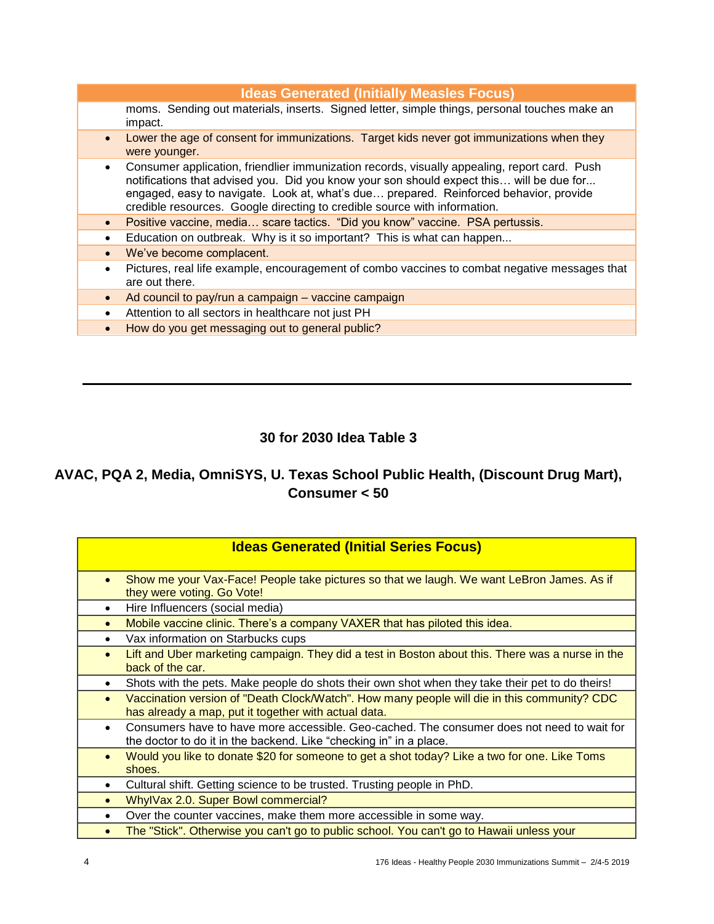| <b>Ideas Generated (Initially Measles Focus)</b>                                                                                                                                                                                                                                                                                                                            |
|-----------------------------------------------------------------------------------------------------------------------------------------------------------------------------------------------------------------------------------------------------------------------------------------------------------------------------------------------------------------------------|
| moms. Sending out materials, inserts. Signed letter, simple things, personal touches make an<br>impact.                                                                                                                                                                                                                                                                     |
| Lower the age of consent for immunizations. Target kids never got immunizations when they<br>$\bullet$<br>were younger.                                                                                                                                                                                                                                                     |
| Consumer application, friendlier immunization records, visually appealing, report card. Push<br>$\bullet$<br>notifications that advised you. Did you know your son should expect this will be due for<br>engaged, easy to navigate. Look at, what's due prepared. Reinforced behavior, provide<br>credible resources. Google directing to credible source with information. |
| Positive vaccine, media scare tactics. "Did you know" vaccine. PSA pertussis.<br>$\bullet$                                                                                                                                                                                                                                                                                  |
| Education on outbreak. Why is it so important? This is what can happen<br>$\bullet$                                                                                                                                                                                                                                                                                         |
| We've become complacent.<br>$\bullet$                                                                                                                                                                                                                                                                                                                                       |
| Pictures, real life example, encouragement of combo vaccines to combat negative messages that<br>$\bullet$<br>are out there.                                                                                                                                                                                                                                                |
| Ad council to pay/run a campaign – vaccine campaign<br>$\bullet$                                                                                                                                                                                                                                                                                                            |
| Attention to all sectors in healthcare not just PH<br>$\bullet$                                                                                                                                                                                                                                                                                                             |
| How do you get messaging out to general public?<br>$\bullet$                                                                                                                                                                                                                                                                                                                |

# **30 for 2030 Idea Table 3**

# **AVAC, PQA 2, Media, OmniSYS, U. Texas School Public Health, (Discount Drug Mart), Consumer < 50**

| <b>Ideas Generated (Initial Series Focus)</b>                                                                                                                                 |
|-------------------------------------------------------------------------------------------------------------------------------------------------------------------------------|
| Show me your Vax-Face! People take pictures so that we laugh. We want LeBron James. As if<br>$\bullet$<br>they were voting. Go Vote!                                          |
| Hire Influencers (social media)<br>$\bullet$                                                                                                                                  |
| Mobile vaccine clinic. There's a company VAXER that has piloted this idea.<br>$\bullet$                                                                                       |
| Vax information on Starbucks cups<br>$\bullet$                                                                                                                                |
| Lift and Uber marketing campaign. They did a test in Boston about this. There was a nurse in the<br>$\bullet$<br>back of the car.                                             |
| Shots with the pets. Make people do shots their own shot when they take their pet to do theirs!<br>$\bullet$                                                                  |
| Vaccination version of "Death Clock/Watch". How many people will die in this community? CDC<br>$\bullet$<br>has already a map, put it together with actual data.              |
| Consumers have to have more accessible. Geo-cached. The consumer does not need to wait for<br>$\bullet$<br>the doctor to do it in the backend. Like "checking in" in a place. |
| Would you like to donate \$20 for someone to get a shot today? Like a two for one. Like Toms<br>$\bullet$<br>shoes.                                                           |
| Cultural shift. Getting science to be trusted. Trusting people in PhD.<br>$\bullet$                                                                                           |
| WhylVax 2.0. Super Bowl commercial?<br>$\bullet$                                                                                                                              |
| Over the counter vaccines, make them more accessible in some way.<br>$\bullet$                                                                                                |
| The "Stick". Otherwise you can't go to public school. You can't go to Hawaii unless your<br>$\bullet$                                                                         |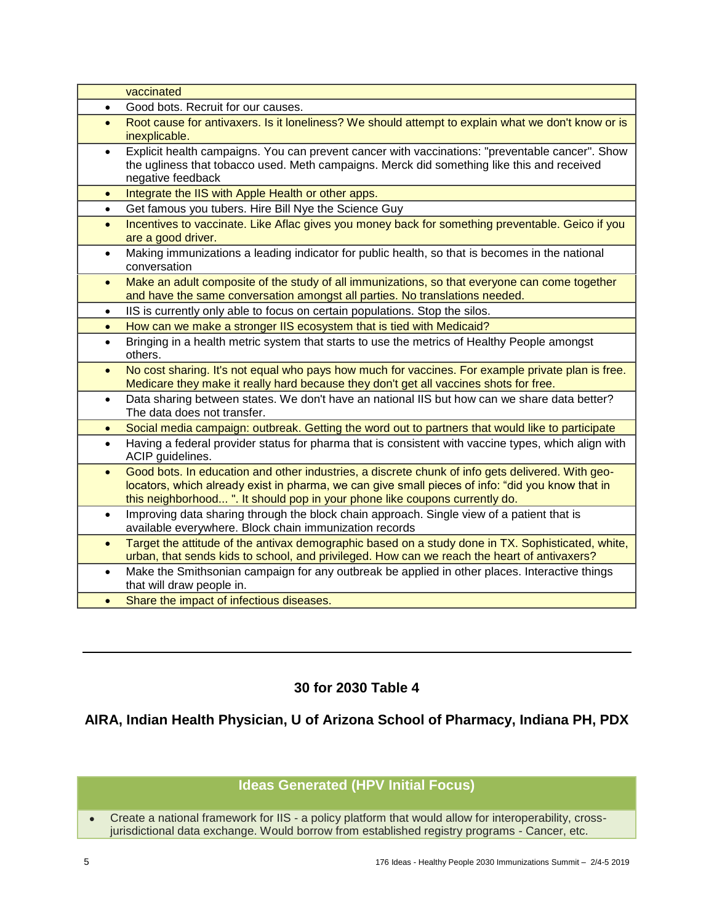| vaccinated                      |                                                                                                                                                                                                                                                                                    |
|---------------------------------|------------------------------------------------------------------------------------------------------------------------------------------------------------------------------------------------------------------------------------------------------------------------------------|
| $\bullet$                       | Good bots. Recruit for our causes.                                                                                                                                                                                                                                                 |
| $\bullet$<br>inexplicable.      | Root cause for antivaxers. Is it loneliness? We should attempt to explain what we don't know or is                                                                                                                                                                                 |
| $\bullet$<br>negative feedback  | Explicit health campaigns. You can prevent cancer with vaccinations: "preventable cancer". Show<br>the ugliness that tobacco used. Meth campaigns. Merck did something like this and received                                                                                      |
| $\bullet$                       | Integrate the IIS with Apple Health or other apps.                                                                                                                                                                                                                                 |
| $\bullet$                       | Get famous you tubers. Hire Bill Nye the Science Guy                                                                                                                                                                                                                               |
| $\bullet$<br>are a good driver. | Incentives to vaccinate. Like Aflac gives you money back for something preventable. Geico if you                                                                                                                                                                                   |
| $\bullet$<br>conversation       | Making immunizations a leading indicator for public health, so that is becomes in the national                                                                                                                                                                                     |
| $\bullet$                       | Make an adult composite of the study of all immunizations, so that everyone can come together<br>and have the same conversation amongst all parties. No translations needed.                                                                                                       |
| $\bullet$                       | IIS is currently only able to focus on certain populations. Stop the silos.                                                                                                                                                                                                        |
| $\bullet$                       | How can we make a stronger IIS ecosystem that is tied with Medicaid?                                                                                                                                                                                                               |
| $\bullet$<br>others.            | Bringing in a health metric system that starts to use the metrics of Healthy People amongst                                                                                                                                                                                        |
| $\bullet$                       | No cost sharing. It's not equal who pays how much for vaccines. For example private plan is free.<br>Medicare they make it really hard because they don't get all vaccines shots for free.                                                                                         |
| $\bullet$                       | Data sharing between states. We don't have an national IIS but how can we share data better?<br>The data does not transfer.                                                                                                                                                        |
| $\bullet$                       | Social media campaign: outbreak. Getting the word out to partners that would like to participate                                                                                                                                                                                   |
| $\bullet$<br>ACIP guidelines.   | Having a federal provider status for pharma that is consistent with vaccine types, which align with                                                                                                                                                                                |
| $\bullet$                       | Good bots. In education and other industries, a discrete chunk of info gets delivered. With geo-<br>locators, which already exist in pharma, we can give small pieces of info: "did you know that in<br>this neighborhood". It should pop in your phone like coupons currently do. |
| $\bullet$                       | Improving data sharing through the block chain approach. Single view of a patient that is<br>available everywhere. Block chain immunization records                                                                                                                                |
| $\bullet$                       | Target the attitude of the antivax demographic based on a study done in TX. Sophisticated, white,<br>urban, that sends kids to school, and privileged. How can we reach the heart of antivaxers?                                                                                   |
| $\bullet$                       | Make the Smithsonian campaign for any outbreak be applied in other places. Interactive things<br>that will draw people in.                                                                                                                                                         |
| $\bullet$                       | Share the impact of infectious diseases.                                                                                                                                                                                                                                           |

# **30 for 2030 Table 4**

# **AIRA, Indian Health Physician, U of Arizona School of Pharmacy, Indiana PH, PDX**

# **Ideas Generated (HPV Initial Focus)**

 Create a national framework for IIS - a policy platform that would allow for interoperability, crossjurisdictional data exchange. Would borrow from established registry programs - Cancer, etc.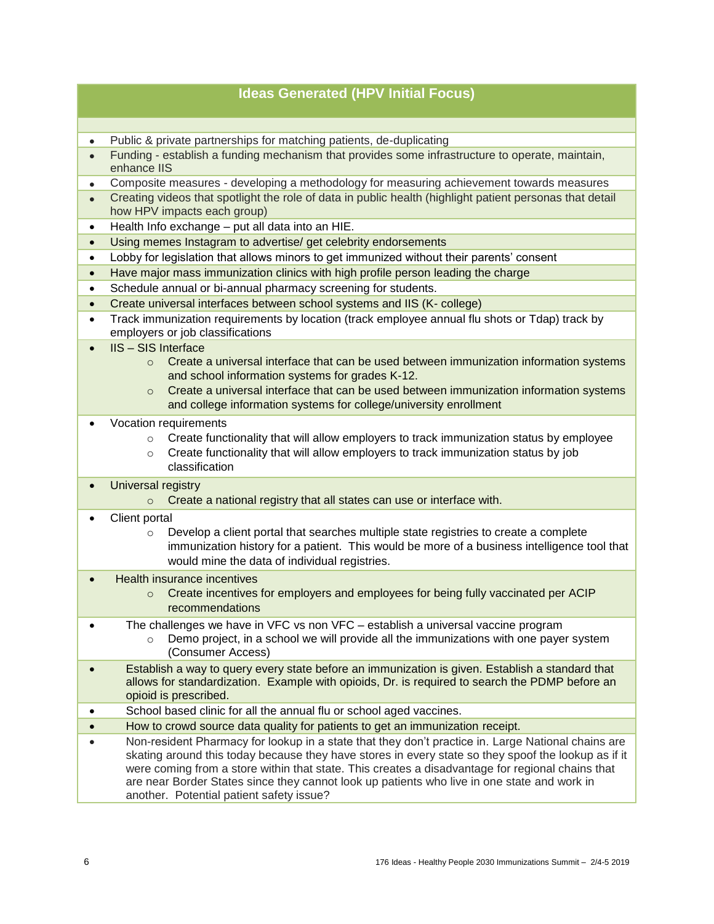|           | <b>Ideas Generated (HPV Initial Focus)</b>                                                                                                                                                                                                                                                                                                                                                                                                               |
|-----------|----------------------------------------------------------------------------------------------------------------------------------------------------------------------------------------------------------------------------------------------------------------------------------------------------------------------------------------------------------------------------------------------------------------------------------------------------------|
|           |                                                                                                                                                                                                                                                                                                                                                                                                                                                          |
| $\bullet$ | Public & private partnerships for matching patients, de-duplicating                                                                                                                                                                                                                                                                                                                                                                                      |
| $\bullet$ | Funding - establish a funding mechanism that provides some infrastructure to operate, maintain,<br>enhance IIS                                                                                                                                                                                                                                                                                                                                           |
| $\bullet$ | Composite measures - developing a methodology for measuring achievement towards measures                                                                                                                                                                                                                                                                                                                                                                 |
| $\bullet$ | Creating videos that spotlight the role of data in public health (highlight patient personas that detail<br>how HPV impacts each group)                                                                                                                                                                                                                                                                                                                  |
| $\bullet$ | Health Info exchange - put all data into an HIE.                                                                                                                                                                                                                                                                                                                                                                                                         |
| $\bullet$ | Using memes Instagram to advertise/ get celebrity endorsements                                                                                                                                                                                                                                                                                                                                                                                           |
| $\bullet$ | Lobby for legislation that allows minors to get immunized without their parents' consent                                                                                                                                                                                                                                                                                                                                                                 |
| $\bullet$ | Have major mass immunization clinics with high profile person leading the charge                                                                                                                                                                                                                                                                                                                                                                         |
| $\bullet$ | Schedule annual or bi-annual pharmacy screening for students.                                                                                                                                                                                                                                                                                                                                                                                            |
| $\bullet$ | Create universal interfaces between school systems and IIS (K- college)                                                                                                                                                                                                                                                                                                                                                                                  |
| $\bullet$ | Track immunization requirements by location (track employee annual flu shots or Tdap) track by<br>employers or job classifications                                                                                                                                                                                                                                                                                                                       |
|           | <b>IIS - SIS Interface</b><br>Create a universal interface that can be used between immunization information systems<br>$\circ$<br>and school information systems for grades K-12.<br>Create a universal interface that can be used between immunization information systems<br>$\Omega$<br>and college information systems for college/university enrollment                                                                                            |
|           | Vocation requirements<br>Create functionality that will allow employers to track immunization status by employee<br>$\circ$<br>Create functionality that will allow employers to track immunization status by job<br>$\circ$<br>classification                                                                                                                                                                                                           |
| $\bullet$ | <b>Universal registry</b><br>Create a national registry that all states can use or interface with.<br>$\circ$                                                                                                                                                                                                                                                                                                                                            |
|           | Client portal<br>Develop a client portal that searches multiple state registries to create a complete<br>$\circ$<br>immunization history for a patient. This would be more of a business intelligence tool that<br>would mine the data of individual registries.                                                                                                                                                                                         |
|           | <b>Health insurance incentives</b><br>Create incentives for employers and employees for being fully vaccinated per ACIP<br>$\circ$<br>recommendations                                                                                                                                                                                                                                                                                                    |
|           | The challenges we have in VFC vs non VFC - establish a universal vaccine program<br>Demo project, in a school we will provide all the immunizations with one payer system<br>$\circ$<br>(Consumer Access)                                                                                                                                                                                                                                                |
|           | Establish a way to query every state before an immunization is given. Establish a standard that<br>allows for standardization. Example with opioids, Dr. is required to search the PDMP before an<br>opioid is prescribed.                                                                                                                                                                                                                               |
|           | School based clinic for all the annual flu or school aged vaccines.                                                                                                                                                                                                                                                                                                                                                                                      |
|           | How to crowd source data quality for patients to get an immunization receipt.                                                                                                                                                                                                                                                                                                                                                                            |
|           | Non-resident Pharmacy for lookup in a state that they don't practice in. Large National chains are<br>skating around this today because they have stores in every state so they spoof the lookup as if it<br>were coming from a store within that state. This creates a disadvantage for regional chains that<br>are near Border States since they cannot look up patients who live in one state and work in<br>another. Potential patient safety issue? |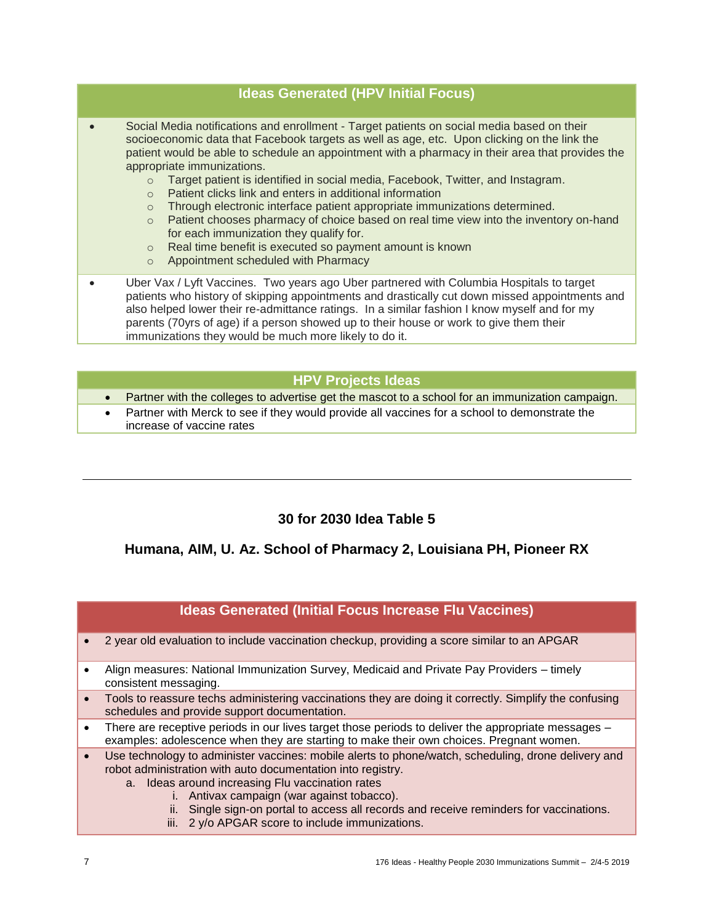### **Ideas Generated (HPV Initial Focus)**

- Social Media notifications and enrollment Target patients on social media based on their socioeconomic data that Facebook targets as well as age, etc. Upon clicking on the link the patient would be able to schedule an appointment with a pharmacy in their area that provides the appropriate immunizations.
	- o Target patient is identified in social media, Facebook, Twitter, and Instagram.
	- o Patient clicks link and enters in additional information
	- o Through electronic interface patient appropriate immunizations determined.
	- $\circ$  Patient chooses pharmacy of choice based on real time view into the inventory on-hand for each immunization they qualify for.
	- o Real time benefit is executed so payment amount is known
	- o Appointment scheduled with Pharmacy
- Uber Vax / Lyft Vaccines. Two years ago Uber partnered with Columbia Hospitals to target patients who history of skipping appointments and drastically cut down missed appointments and also helped lower their re-admittance ratings. In a similar fashion I know myself and for my parents (70yrs of age) if a person showed up to their house or work to give them their immunizations they would be much more likely to do it.

### **HPV Projects Ideas**

- Partner with the colleges to advertise get the mascot to a school for an immunization campaign.
- Partner with Merck to see if they would provide all vaccines for a school to demonstrate the increase of vaccine rates

## **30 for 2030 Idea Table 5**

## **Humana, AIM, U. Az. School of Pharmacy 2, Louisiana PH, Pioneer RX**

### **Ideas Generated (Initial Focus Increase Flu Vaccines)**

- 2 year old evaluation to include vaccination checkup, providing a score similar to an APGAR
- Align measures: National Immunization Survey, Medicaid and Private Pay Providers timely consistent messaging.
- Tools to reassure techs administering vaccinations they are doing it correctly. Simplify the confusing schedules and provide support documentation.
- There are receptive periods in our lives target those periods to deliver the appropriate messages examples: adolescence when they are starting to make their own choices. Pregnant women.
- Use technology to administer vaccines: mobile alerts to phone/watch, scheduling, drone delivery and robot administration with auto documentation into registry.
	- a. Ideas around increasing Flu vaccination rates
		- i. Antivax campaign (war against tobacco).
		- ii. Single sign-on portal to access all records and receive reminders for vaccinations.
		- iii. 2 y/o APGAR score to include immunizations.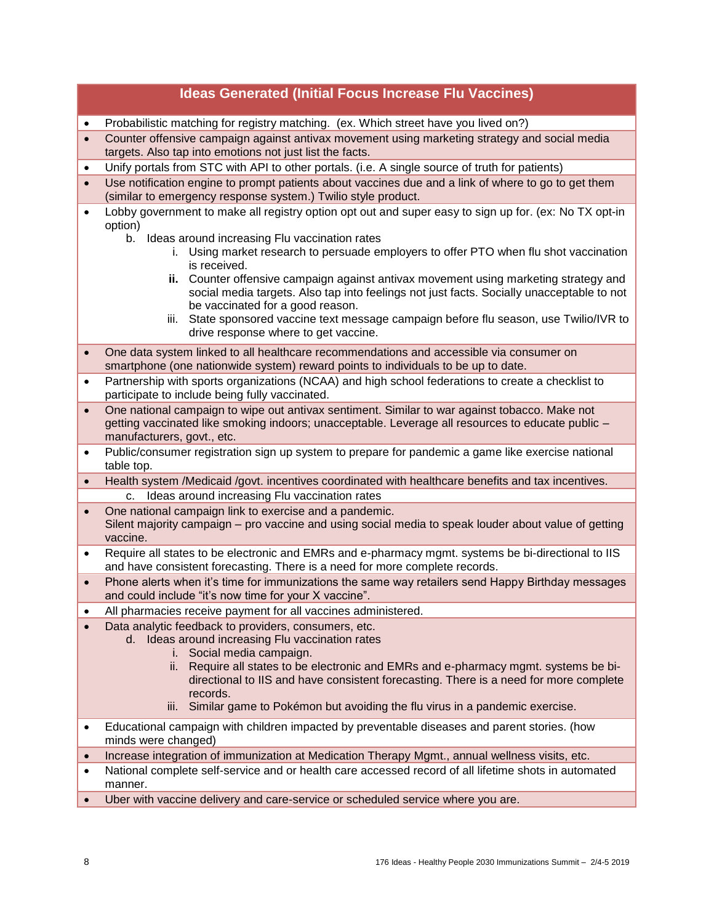|           | <b>Ideas Generated (Initial Focus Increase Flu Vaccines)</b>                                                                                                                                                                                                                                                                       |
|-----------|------------------------------------------------------------------------------------------------------------------------------------------------------------------------------------------------------------------------------------------------------------------------------------------------------------------------------------|
| $\bullet$ | Probabilistic matching for registry matching. (ex. Which street have you lived on?)                                                                                                                                                                                                                                                |
| $\bullet$ | Counter offensive campaign against antivax movement using marketing strategy and social media<br>targets. Also tap into emotions not just list the facts.                                                                                                                                                                          |
| $\bullet$ | Unify portals from STC with API to other portals. (i.e. A single source of truth for patients)                                                                                                                                                                                                                                     |
|           | Use notification engine to prompt patients about vaccines due and a link of where to go to get them<br>(similar to emergency response system.) Twilio style product.                                                                                                                                                               |
|           | Lobby government to make all registry option opt out and super easy to sign up for. (ex: No TX opt-in<br>option)                                                                                                                                                                                                                   |
|           | Ideas around increasing Flu vaccination rates<br>b.<br>i. Using market research to persuade employers to offer PTO when flu shot vaccination<br>is received.                                                                                                                                                                       |
|           | ii. Counter offensive campaign against antivax movement using marketing strategy and<br>social media targets. Also tap into feelings not just facts. Socially unacceptable to not<br>be vaccinated for a good reason.                                                                                                              |
|           | iii. State sponsored vaccine text message campaign before flu season, use Twilio/IVR to<br>drive response where to get vaccine.                                                                                                                                                                                                    |
| $\bullet$ | One data system linked to all healthcare recommendations and accessible via consumer on<br>smartphone (one nationwide system) reward points to individuals to be up to date.                                                                                                                                                       |
| $\bullet$ | Partnership with sports organizations (NCAA) and high school federations to create a checklist to<br>participate to include being fully vaccinated.                                                                                                                                                                                |
| $\bullet$ | One national campaign to wipe out antivax sentiment. Similar to war against tobacco. Make not<br>getting vaccinated like smoking indoors; unacceptable. Leverage all resources to educate public -<br>manufacturers, govt., etc.                                                                                                   |
| $\bullet$ | Public/consumer registration sign up system to prepare for pandemic a game like exercise national<br>table top.                                                                                                                                                                                                                    |
| $\bullet$ | Health system /Medicaid /govt. incentives coordinated with healthcare benefits and tax incentives.                                                                                                                                                                                                                                 |
|           | Ideas around increasing Flu vaccination rates<br>C.                                                                                                                                                                                                                                                                                |
| $\bullet$ | One national campaign link to exercise and a pandemic.<br>Silent majority campaign – pro vaccine and using social media to speak louder about value of getting<br>vaccine.                                                                                                                                                         |
| $\bullet$ | Require all states to be electronic and EMRs and e-pharmacy mgmt. systems be bi-directional to IIS<br>and have consistent forecasting. There is a need for more complete records.                                                                                                                                                  |
|           | Phone alerts when it's time for immunizations the same way retailers send Happy Birthday messages<br>and could include "it's now time for your X vaccine".                                                                                                                                                                         |
|           | All pharmacies receive payment for all vaccines administered.                                                                                                                                                                                                                                                                      |
|           | Data analytic feedback to providers, consumers, etc.<br>d. Ideas around increasing Flu vaccination rates<br>i. Social media campaign.<br>ii. Require all states to be electronic and EMRs and e-pharmacy mgmt. systems be bi-<br>directional to IIS and have consistent forecasting. There is a need for more complete<br>records. |
|           | Similar game to Pokémon but avoiding the flu virus in a pandemic exercise.<br>Ш.                                                                                                                                                                                                                                                   |
| ٠         | Educational campaign with children impacted by preventable diseases and parent stories. (how<br>minds were changed)                                                                                                                                                                                                                |
| $\bullet$ | Increase integration of immunization at Medication Therapy Mgmt., annual wellness visits, etc.                                                                                                                                                                                                                                     |
| $\bullet$ | National complete self-service and or health care accessed record of all lifetime shots in automated<br>manner.                                                                                                                                                                                                                    |
|           | Uber with vaccine delivery and care-service or scheduled service where you are.                                                                                                                                                                                                                                                    |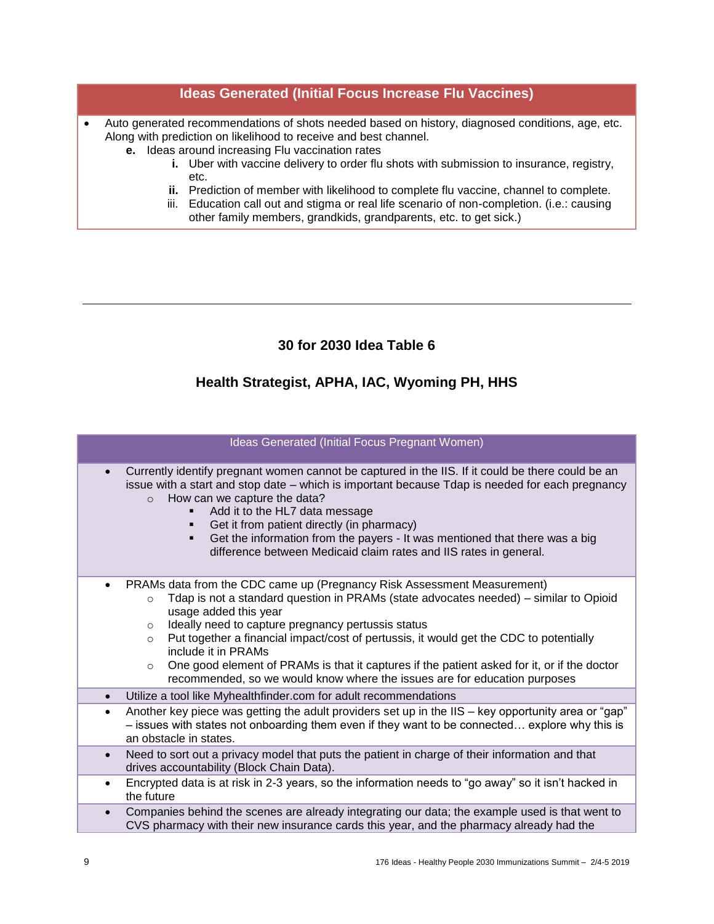### **Ideas Generated (Initial Focus Increase Flu Vaccines)**

- Auto generated recommendations of shots needed based on history, diagnosed conditions, age, etc. Along with prediction on likelihood to receive and best channel.
	- **e.** Ideas around increasing Flu vaccination rates
		- **i.** Uber with vaccine delivery to order flu shots with submission to insurance, registry, etc.
		- **ii.** Prediction of member with likelihood to complete flu vaccine, channel to complete.
		- iii. Education call out and stigma or real life scenario of non-completion. (i.e.: causing other family members, grandkids, grandparents, etc. to get sick.)

# **30 for 2030 Idea Table 6**

# **Health Strategist, APHA, IAC, Wyoming PH, HHS**

| Ideas Generated (Initial Focus Pregnant Women)                                                                                                                                                                                                                                                                                                                                                                                                                                                                                                                                           |  |
|------------------------------------------------------------------------------------------------------------------------------------------------------------------------------------------------------------------------------------------------------------------------------------------------------------------------------------------------------------------------------------------------------------------------------------------------------------------------------------------------------------------------------------------------------------------------------------------|--|
| Currently identify pregnant women cannot be captured in the IIS. If it could be there could be an<br>issue with a start and stop date – which is important because Tdap is needed for each pregnancy<br>How can we capture the data?<br>$\Omega$<br>Add it to the HL7 data message<br>Get it from patient directly (in pharmacy)<br>Get the information from the payers - It was mentioned that there was a big<br>٠<br>difference between Medicaid claim rates and IIS rates in general.                                                                                                |  |
| PRAMs data from the CDC came up (Pregnancy Risk Assessment Measurement)<br>Tdap is not a standard question in PRAMs (state advocates needed) – similar to Opioid<br>$\circ$<br>usage added this year<br>Ideally need to capture pregnancy pertussis status<br>$\circ$<br>Put together a financial impact/cost of pertussis, it would get the CDC to potentially<br>$\circ$<br>include it in PRAMs<br>One good element of PRAMs is that it captures if the patient asked for it, or if the doctor<br>$\circ$<br>recommended, so we would know where the issues are for education purposes |  |
| Utilize a tool like Myhealthfinder.com for adult recommendations<br>$\bullet$                                                                                                                                                                                                                                                                                                                                                                                                                                                                                                            |  |
| Another key piece was getting the adult providers set up in the IIS - key opportunity area or "gap"<br>$\bullet$<br>- issues with states not onboarding them even if they want to be connected explore why this is<br>an obstacle in states.                                                                                                                                                                                                                                                                                                                                             |  |
| Need to sort out a privacy model that puts the patient in charge of their information and that<br>$\bullet$<br>drives accountability (Block Chain Data).                                                                                                                                                                                                                                                                                                                                                                                                                                 |  |
| Encrypted data is at risk in 2-3 years, so the information needs to "go away" so it isn't hacked in<br>$\bullet$<br>the future                                                                                                                                                                                                                                                                                                                                                                                                                                                           |  |
| Companies behind the scenes are already integrating our data; the example used is that went to<br>$\bullet$<br>CVS pharmacy with their new insurance cards this year, and the pharmacy already had the                                                                                                                                                                                                                                                                                                                                                                                   |  |